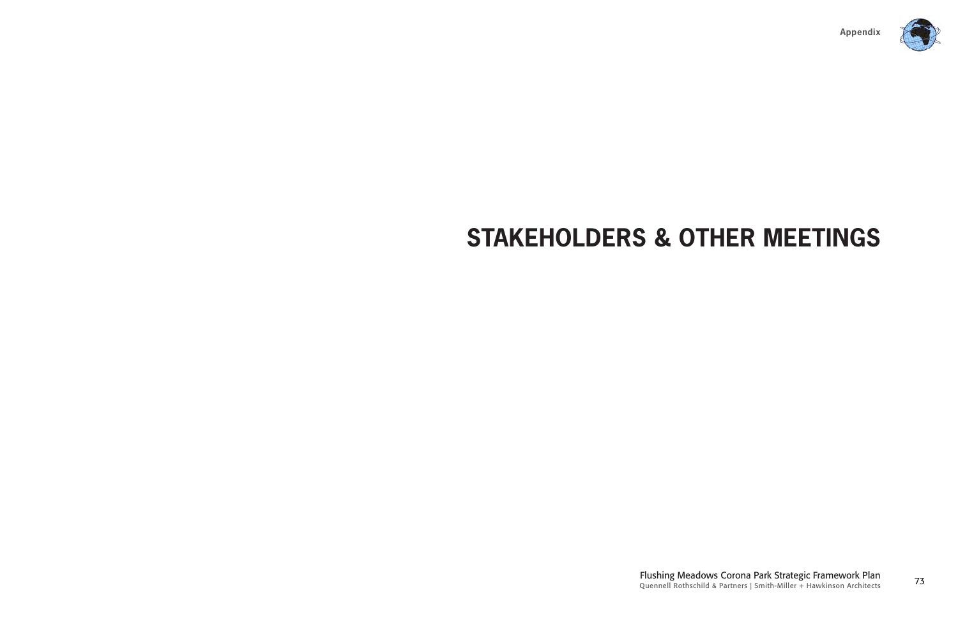

<sup>73</sup> Flushing Meadows Corona Park Strategic Framework Plan Quennell Rothschild & Partners | Smith-Miller + Hawkinson Architects

## **STAKEHOLDERS & OTHER MEETINGS**

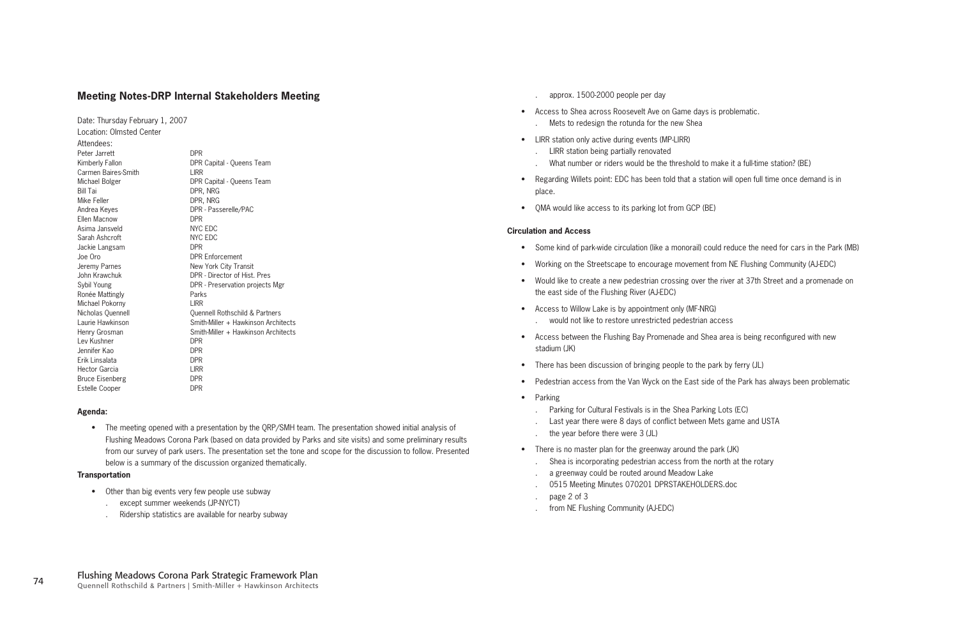approx. 1500-2000 people per day

- Access to Shea across Roosevelt Ave on Game days is problematic. Mets to redesign the rotunda for the new Shea .
- LIRR station only active during events (MP-LIRR)
	- LIRR station being partially renovated .
	- .
- Regarding Willets point: EDC has been told that a station will open full time once demand is in place.
- QMA would like access to its parking lot from GCP (BE)

#### **Circulation and Access**

Date: Thursday February 1, 2007 Location: Olmsted Center Attendees: Peter Jarrett DPR Kimberly Fallon DPR Capital - Queens Team Carmen Baires-Smith LIRR Michael Bolger DPR Capital - Queens Team Bill Tai DPR, NRG Mike Feller **DPR, NRG** Andrea Keyes **DPR** - Passerelle/PAC Ellen Macnow DPR Asima Jansveld NYC EDC Sarah Ashcroft NYC EDC Jackie Langsam DPR Joe Oro DPR Enforcement Jeremy Parnes New York City Transit John Krawchuk DPR - Director of Hist. Pres Sybil Young DPR - Preservation projects Mgr Ronée Mattingly **Parks** Michael Pokorny LIRR Nicholas Quennell Quennell Rothschild & Partners Laurie Hawkinson Smith-Miller + Hawkinson Architects Henry Grosman Smith-Miller + Hawkinson Architects Lev Kushner **DPR** Jennifer Kao DPR Erik Linsalata DPR Hector Garcia **LIRR** Bruce Eisenberg DPR Estelle Cooper DPR

• The meeting opened with a presentation by the QRP/SMH team. The presentation showed initial analysis of Flushing Meadows Corona Park (based on data provided by Parks and site visits) and some preliminary results from our survey of park users. The presentation set the tone and scope for the discussion to follow. Presented below is a summary of the discussion organized thematically.

- Parking for Cultural Festivals is in the Shea Parking Lots (EC) .
- Last year there were 8 days of conflict between Mets game and USTA .
- the year before there were 3 (JL) .
- There is no master plan for the greenway around the park (JK)
	- Shea is incorporating pedestrian access from the north at the rotary .
	- a greenway could be routed around Meadow Lake .
	- 0515 Meeting Minutes 070201 DPRSTAKEHOLDERS.doc
	- page 2 of 3
	- from NE Flushing Community (AJ-EDC) .

What number or riders would be the threshold to make it a full-time station? (BE)

- Other than big events very few people use subway
	- except summer weekends (JP-NYCT) .
	- Ridership statistics are available for nearby subway .

.

- Some kind of park-wide circulation (like a monorail) could reduce the need for cars in the Park (MB)
- Working on the Streetscape to encourage movement from NE Flushing Community (AJ-EDC)
- Would like to create a new pedestrian crossing over the river at 37th Street and a promenade on the east side of the Flushing River (AJ-EDC)
- Access to Willow Lake is by appointment only (MF-NRG) would not like to restore unrestricted pedestrian access .
- Access between the Flushing Bay Promenade and Shea area is being reconfigured with new stadium (JK)
- There has been discussion of bringing people to the park by ferry (JL)
- Pedestrian access from the Van Wyck on the East side of the Park has always been problematic •
- Parking

. .

#### **Meeting Notes-DRP Internal Stakeholders Meeting**

#### **Agenda:**

#### **Transportation**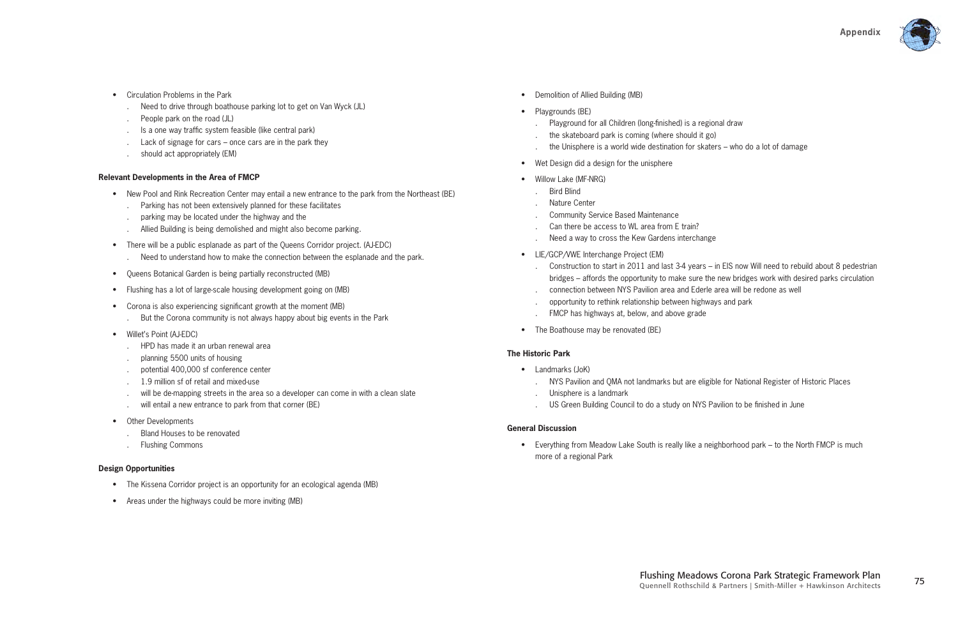

#### **Relevant Developments in the Area of FMCP**

- Circulation Problems in the Park
	- Need to drive through boathouse parking lot to get on Van Wyck (JL) .
	- People park on the road (JL) .
	- Is a one way traffic system feasible (like central park) .
	- Lack of signage for cars once cars are in the park they .
	- should act appropriately (EM) .

- New Pool and Rink Recreation Center may entail a new entrance to the park from the Northeast (BE)
	- Parking has not been extensively planned for these facilitates .
	- parking may be located under the highway and the .
	- Allied Building is being demolished and might also become parking. .
- There will be a public esplanade as part of the Queens Corridor project. (AJ-EDC) Need to understand how to make the connection between the esplanade and the park. .
- Queens Botanical Garden is being partially reconstructed (MB)
- Flushing has a lot of large-scale housing development going on (MB)
- Corona is also experiencing significant growth at the moment (MB)
	- But the Corona community is not always happy about big events in the Park .
- Willet's Point (AJ-EDC)
	- HPD has made it an urban renewal area .
	- planning 5500 units of housing .
	- potential 400,000 sf conference center .
	- 1.9 million sf of retail and mixed-use .
	- will be de-mapping streets in the area so a developer can come in with a clean slate .
	- will entail a new entrance to park from that corner (BE) .
- Other Developments
	- Bland Houses to be renovated .
	- Flushing Commons .

• Everything from Meadow Lake South is really like a neighborhood park – to the North FMCP is much more of a regional Park

#### **Design Opportunities**

- The Kissena Corridor project is an opportunity for an ecological agenda (MB)
- Areas under the highways could be more inviting (MB)
- Demolition of Allied Building (MB)
- Playgrounds (BE)
	- Playground for all Children (long-finished) is a regional draw .
	- the skateboard park is coming (where should it go) .
	- the Unisphere is a world wide destination for skaters who do a lot of damage .
- Wet Design did a design for the unisphere
- Willow Lake (MF-NRG)
	- Bird Blind .
	- Nature Center .
	- Community Service Based Maintenance .
	- Can there be access to WL area from E train? .
	- Need a way to cross the Kew Gardens interchange .
- LIE/GCP/VWE Interchange Project (EM)
	- .
	- connection between NYS Pavilion area and Ederle area will be redone as well .
	- opportunity to rethink relationship between highways and park .
	- FMCP has highways at, below, and above grade .
- The Boathouse may be renovated (BE)

- Landmarks (JoK)
	- NYS Pavilion and QMA not landmarks but are eligible for National Register of Historic Places .
	- Unisphere is a landmark .
	- US Green Building Council to do a study on NYS Pavilion to be finished in June .

Construction to start in 2011 and last 3-4 years – in EIS now Will need to rebuild about 8 pedestrian bridges – affords the opportunity to make sure the new bridges work with desired parks circulation

#### **The Historic Park**

#### **General Discussion**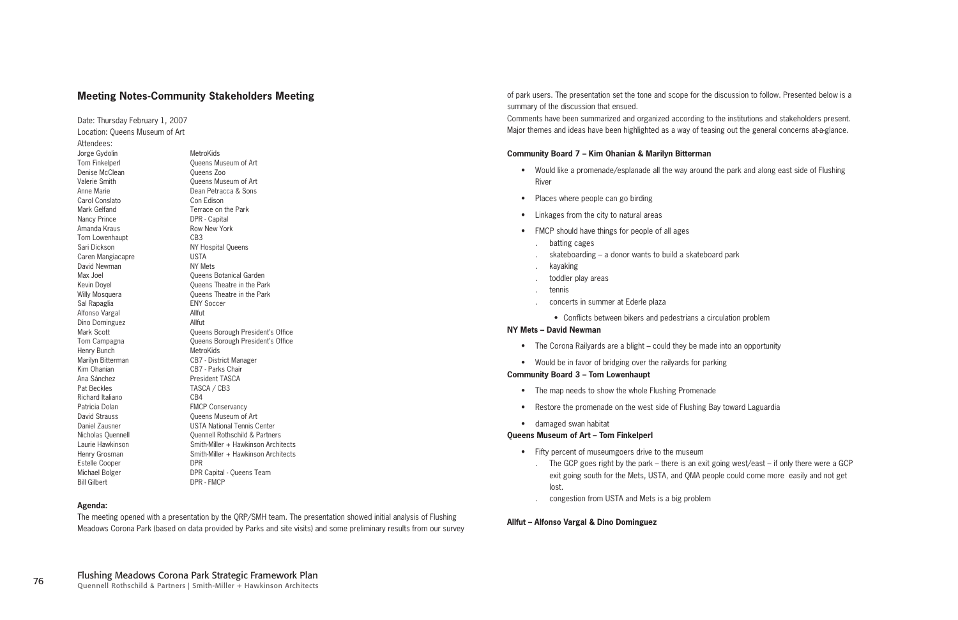#### **Meeting Notes-Community Stakeholders Meeting**

Date: Thursday February 1, 2007 Location: Queens Museum of Art Attendees: Jorge Gydolin MetroKids Tom Finkelperl **The Cueens Museum of Art** Denise McClean **Queens** Zoo Valerie Smith Cueens Museum of Art Anne Marie Dean Petracca & Sons Carol Conslato Con Edison Mark Gelfand Terrace on the Park Nancy Prince **DPR** - Capital Amanda Kraus **Row New York** Tom Lowenhaupt CB3 Sari Dickson NY Hospital Queens Caren Mangiacapre USTA David Newman NY Mets Sal Rapaglia ENY Soccer Alfonso Vargal Allfut Dino Dominguez Allfut Henry Bunch MetroKids Marilyn Bitterman CB7 - District Manager Kim Ohanian CB7 - Parks Chair Ana Sánchez **President TASCA** Pat Beckles TASCA / CB3 Richard Italiano **CB4** Patricia Dolan FMCP Conservancy David Strauss **David Strauss** Queens Museum of Art Estelle Cooper DPR Bill Gilbert DPR - FMCP

Max Joel **Max** Joel Cueens Botanical Garden Kevin Doyel **Containers** Cueens Theatre in the Park Willy Mosquera **Constructs** Oueens Theatre in the Park Mark Scott **Mark Scott** Queens Borough President's Office Tom Campagna **The Campagna Cueens Borough President's Office** Daniel Zausner USTA National Tennis Center Nicholas Quennell Quennell Rothschild & Partners Laurie Hawkinson Smith-Miller + Hawkinson Architects Henry Grosman Smith-Miller + Hawkinson Architects Michael Bolger DPR Capital - Queens Team

- Would like a promenade/esplanade all the way around the park and along east side of Flushing River
- Places where people can go birding
- Linkages from the city to natural areas
- FMCP should have things for people of all ages
	- batting cages .
	- skateboarding a donor wants to build a skateboard park .
	- kayaking .
	- toddler play areas .
	- tennis

- concerts in summer at Ederle plaza
- Conflicts between bikers and pedestrians a circulation problem

#### **Agenda:**

The meeting opened with a presentation by the QRP/SMH team. The presentation showed initial analysis of Flushing Meadows Corona Park (based on data provided by Parks and site visits) and some preliminary results from our survey

- Fifty percent of museumgoers drive to the museum
	- exit going south for the Mets, USTA, and QMA people could come more easily and not get lost.
	- congestion from USTA and Mets is a big problem .

of park users. The presentation set the tone and scope for the discussion to follow. Presented below is a summary of the discussion that ensued.

Comments have been summarized and organized according to the institutions and stakeholders present. Major themes and ideas have been highlighted as a way of teasing out the general concerns at-a-glance.

#### **Community Board 7 – Kim Ohanian & Marilyn Bitterman**

#### **NY Mets – David Newman**

- The Corona Railyards are a blight could they be made into an opportunity
- Would be in favor of bridging over the railyards for parking

#### **Community Board 3 – Tom Lowenhaupt**

- The map needs to show the whole Flushing Promenade
- Restore the promenade on the west side of Flushing Bay toward Laguardia
- damaged swan habitat

#### **Queens Museum of Art – Tom Finkelperl**

#### **Allfut – Alfonso Vargal & Dino Dominguez**

. The GCP goes right by the park – there is an exit going west/east – if only there were a GCP

. .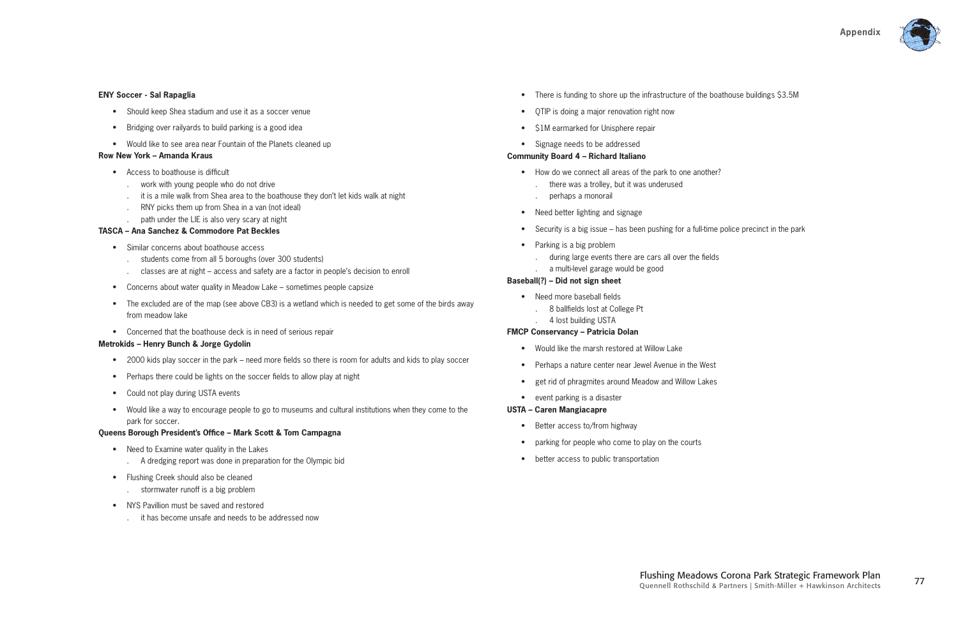

#### **ENY Soccer - Sal Rapaglia**

- Should keep Shea stadium and use it as a soccer venue
- Bridging over railyards to build parking is a good idea
- Would like to see area near Fountain of the Planets cleaned up

- Access to boathouse is difficult
	- work with young people who do not drive .
	- it is a mile walk from Shea area to the boathouse they don't let kids walk at night .
	- RNY picks them up from Shea in a van (not ideal) .
	- path under the LIE is also very scary at night

#### **Row New York – Amanda Kraus**

#### **TASCA – Ana Sanchez & Commodore Pat Beckles**

- Similar concerns about boathouse access
	- students come from all 5 boroughs (over 300 students) .
	- classes are at night access and safety are a factor in people's decision to enroll .
- Concerns about water quality in Meadow Lake sometimes people capsize
- The excluded are of the map (see above CB3) is a wetland which is needed to get some of the birds away from meadow lake
- Concerned that the boathouse deck is in need of serious repair

- 2000 kids play soccer in the park need more fields so there is room for adults and kids to play soccer
- Perhaps there could be lights on the soccer fields to allow play at night
- Could not play during USTA events
- Would like a way to encourage people to go to museums and cultural institutions when they come to the park for soccer.

- Need to Examine water quality in the Lakes A dredging report was done in preparation for the Olympic bid .
- Flushing Creek should also be cleaned stormwater runoff is a big problem .
- NYS Pavillion must be saved and restored
	- it has become unsafe and needs to be addressed now .
- There is funding to shore up the infrastructure of the boathouse buildings \$3.5M
- QTIP is doing a major renovation right now
- \$1M earmarked for Unisphere repair
- Signage needs to be addressed

#### **Metrokids – Henry Bunch & Jorge Gydolin**

- Would like the marsh restored at Willow Lake •
- Perhaps a nature center near Jewel Avenue in the West
- get rid of phragmites around Meadow and Willow Lakes
- event parking is a disaster
- How do we connect all areas of the park to one another?
	- there was a trolley, but it was underused .
	- perhaps a monorail .
- Need better lighting and signage
- Security is a big issue has been pushing for a full-time police precinct in the park
- Parking is a big problem
	- during large events there are cars all over the fields .
- a multi-level garage would be good .

- Need more baseball fields
	- 8 ballfields lost at College Pt .
	- 4 lost building USTA .

#### **Queens Borough President's Office – Mark Scott & Tom Campagna**

.

#### **Community Board 4 – Richard Italiano**

#### **Baseball(?) – Did not sign sheet**

#### **FMCP Conservancy – Patricia Dolan**

#### **USTA – Caren Mangiacapre**

- Better access to/from highway
- parking for people who come to play on the courts
- better access to public transportation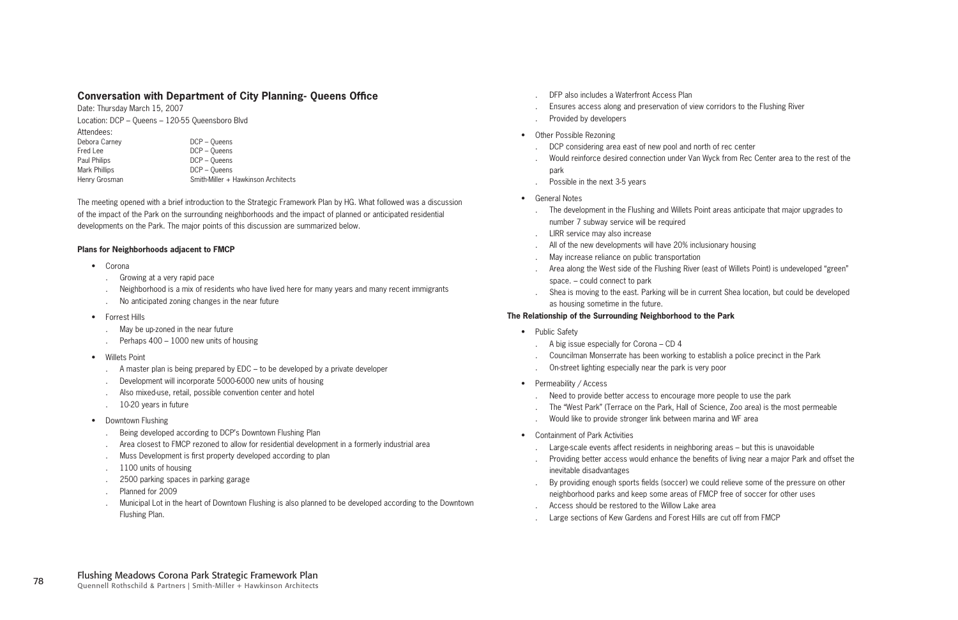- DFP also includes a Waterfront Access Plan
- Ensures access along and preservation of view corridors to the Flushing River .
- Provided by developers .
- Other Possible Rezoning
	- DCP considering area east of new pool and north of rec center .
	- Would reinforce desired connection under Van Wyck from Rec Center area to the rest of the park .
	- Possible in the next 3-5 years .
- General Notes

#### **The Relationship of the Surrounding Neighborhood to the Park**

- Public Safety
	- A big issue especially for Corona CD 4 .
	- Councilman Monserrate has been working to establish a police precinct in the Park .
	- On-street lighting especially near the park is very poor .
- Permeability / Access
	- Need to provide better access to encourage more people to use the park .
	- The "West Park" (Terrace on the Park, Hall of Science, Zoo area) is the most permeable .
	- Would like to provide stronger link between marina and WF area .
- Containment of Park Activities
	- Large-scale events affect residents in neighboring areas but this is unavoidable .
	- inevitable disadvantages .
	- By providing enough sports fields (soccer) we could relieve some of the pressure on other neighborhood parks and keep some areas of FMCP free of soccer for other uses .
	- Access should be restored to the Willow Lake area .
	- Large sections of Kew Gardens and Forest Hills are cut off from FMCP .

Date: Thursday March 15, 2007 Location: DCP – Queens – 120-55 Queensboro Blvd Attendees: Debora Carney DCP – Queens Fred Lee DCP – Queens Paul Philips **DCP** – Queens Mark Phillips **DCP** – Queens Henry Grosman Smith-Miller + Hawkinson Architects

- The development in the Flushing and Willets Point areas anticipate that major upgrades to number 7 subway service will be required .
- LIRR service may also increase .
- All of the new developments will have 20% inclusionary housing .
- May increase reliance on public transportation .
- Area along the West side of the Flushing River (east of Willets Point) is undeveloped "green" space. – could connect to park .
- Shea is moving to the east. Parking will be in current Shea location, but could be developed as housing sometime in the future. .

Providing better access would enhance the benefits of living near a major Park and offset the

.

#### **Conversation with Department of City Planning- Queens Office**

The meeting opened with a brief introduction to the Strategic Framework Plan by HG. What followed was a discussion of the impact of the Park on the surrounding neighborhoods and the impact of planned or anticipated residential developments on the Park. The major points of this discussion are summarized below.

#### **Plans for Neighborhoods adjacent to FMCP**

- Corona
	- Growing at a very rapid pace .
	- Neighborhood is a mix of residents who have lived here for many years and many recent immigrants .
	- No anticipated zoning changes in the near future .
- Forrest Hills
	- May be up-zoned in the near future .
	- Perhaps 400 1000 new units of housing .
- Willets Point
	- A master plan is being prepared by EDC to be developed by a private developer .
	- Development will incorporate 5000-6000 new units of housing .
	- Also mixed-use, retail, possible convention center and hotel .
	- 10-20 years in future .
- Downtown Flushing
	- Being developed according to DCP's Downtown Flushing Plan .
	- Area closest to FMCP rezoned to allow for residential development in a formerly industrial area .
	- Muss Development is first property developed according to plan .
	- 1100 units of housing .
	- 2500 parking spaces in parking garage .
	- Planned for 2009 .
	- Municipal Lot in the heart of Downtown Flushing is also planned to be developed according to the Downtown Flushing Plan. .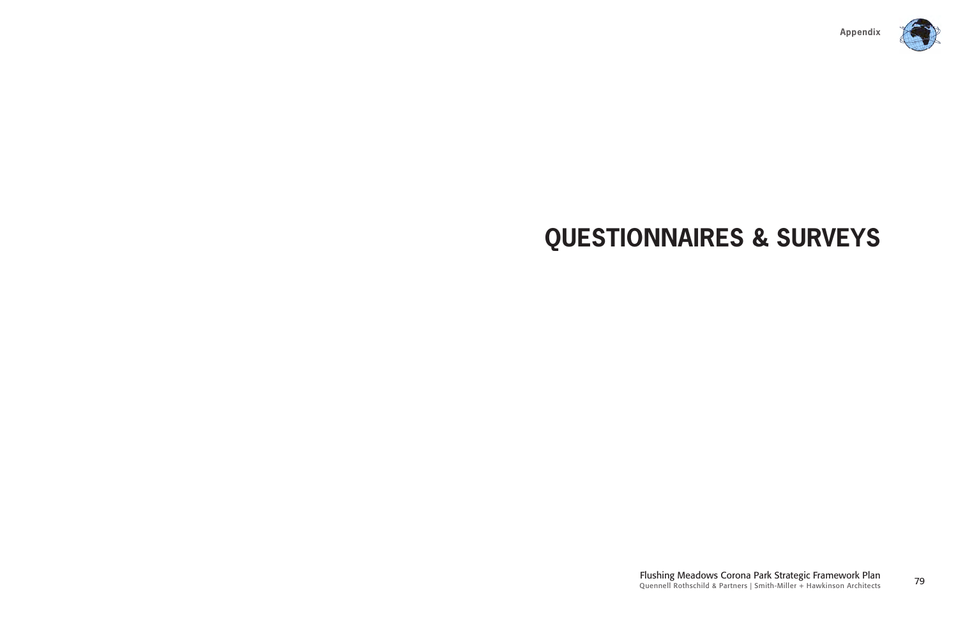

<sup>79</sup> Flushing Meadows Corona Park Strategic Framework Plan Quennell Rothschild & Partners | Smith-Miller + Hawkinson Architects

### **QUESTIONNAIRES & SURVEYS**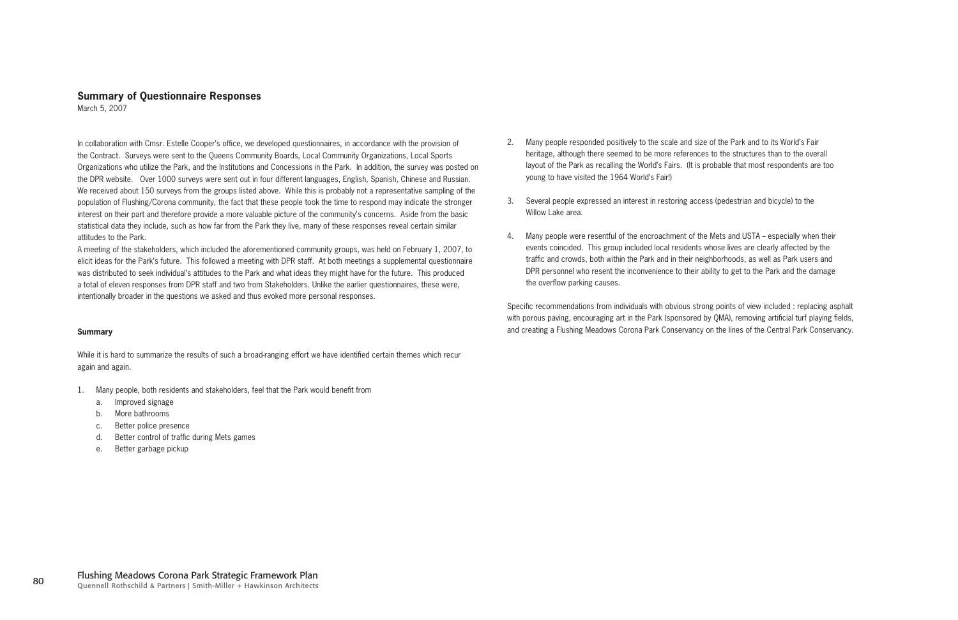#### **Summary of Questionnaire Responses**

March 5, 2007

In collaboration with Cmsr. Estelle Cooper's office, we developed questionnaires, in accordance with the provision of the Contract. Surveys were sent to the Queens Community Boards, Local Community Organizations, Local Sports Organizations who utilize the Park, and the Institutions and Concessions in the Park. In addition, the survey was posted on the DPR website. Over 1000 surveys were sent out in four different languages, English, Spanish, Chinese and Russian. We received about 150 surveys from the groups listed above. While this is probably not a representative sampling of the population of Flushing/Corona community, the fact that these people took the time to respond may indicate the stronger interest on their part and therefore provide a more valuable picture of the community's concerns. Aside from the basic statistical data they include, such as how far from the Park they live, many of these responses reveal certain similar attitudes to the Park.

While it is hard to summarize the results of such a broad-ranging effort we have identified certain themes which recur again and again.

A meeting of the stakeholders, which included the aforementioned community groups, was held on February 1, 2007, to elicit ideas for the Park's future. This followed a meeting with DPR staff. At both meetings a supplemental questionnaire was distributed to seek individual's attitudes to the Park and what ideas they might have for the future. This produced a total of eleven responses from DPR staff and two from Stakeholders. Unlike the earlier questionnaires, these were, intentionally broader in the questions we asked and thus evoked more personal responses.

#### **Summary**

- 1. Many people, both residents and stakeholders, feel that the Park would benefit from
	- a. Improved signage
	- b. More bathrooms
	- c. Better police presence
	- d. Better control of traffic during Mets games
	- e. Better garbage pickup
- 2. Many people responded positively to the scale and size of the Park and to its World's Fair heritage, although there seemed to be more references to the structures than to the overall layout of the Park as recalling the World's Fairs. (It is probable that most respondents are too young to have visited the 1964 World's Fair!)
- 3. Several people expressed an interest in restoring access (pedestrian and bicycle) to the Willow Lake area.
- 4. Many people were resentful of the encroachment of the Mets and USTA especially when their events coincided. This group included local residents whose lives are clearly affected by the traffic and crowds, both within the Park and in their neighborhoods, as well as Park users and DPR personnel who resent the inconvenience to their ability to get to the Park and the damage the overflow parking causes.

Specific recommendations from individuals with obvious strong points of view included : replacing asphalt with porous paving, encouraging art in the Park (sponsored by QMA), removing artificial turf playing fields, and creating a Flushing Meadows Corona Park Conservancy on the lines of the Central Park Conservancy.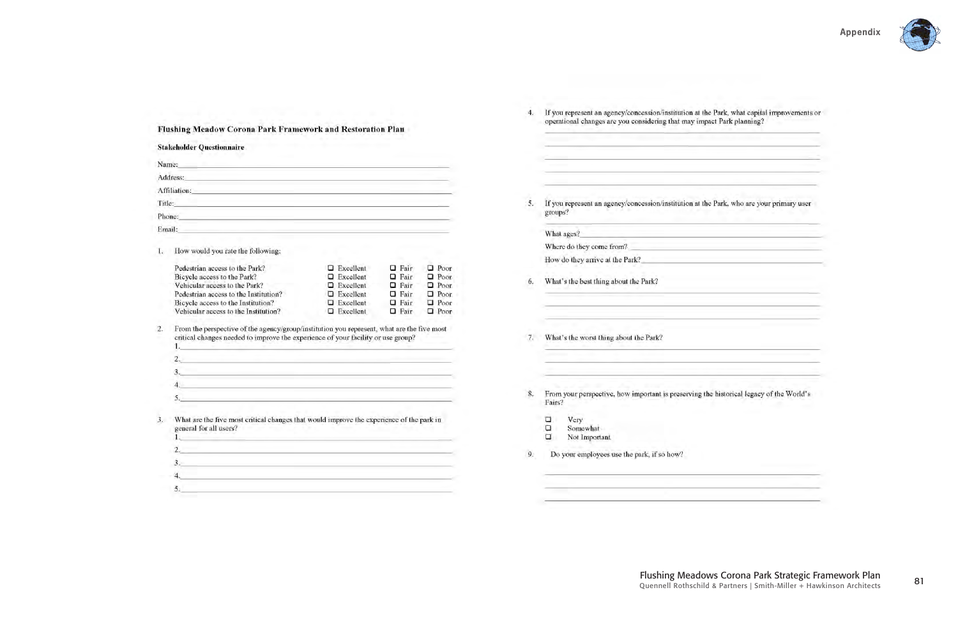|                | Flushing Meadow Corona Park Framework and Restoration Plan                                                                                                                                                                                                                                                                                                                                                          |                                      |                            |                            | 4. | If you represent an agency/concession/institution at the Park<br>operational changes are you considering that may impact Par                                                                                                  |
|----------------|---------------------------------------------------------------------------------------------------------------------------------------------------------------------------------------------------------------------------------------------------------------------------------------------------------------------------------------------------------------------------------------------------------------------|--------------------------------------|----------------------------|----------------------------|----|-------------------------------------------------------------------------------------------------------------------------------------------------------------------------------------------------------------------------------|
|                | <b>Stakeholder Questionnaire</b>                                                                                                                                                                                                                                                                                                                                                                                    |                                      |                            |                            |    |                                                                                                                                                                                                                               |
| Name:          | <u> - Alemania e presentar e presentar e presentar e presentar e</u>                                                                                                                                                                                                                                                                                                                                                |                                      |                            |                            |    | the company of the company of the company of the company of the company of the company of the company of the company of the company of the company of the company of the company of the company of the company of the company |
|                | Address: and the contract of the contract of the contract of the contract of the contract of the contract of the contract of the contract of the contract of the contract of the contract of the contract of the contract of t                                                                                                                                                                                      |                                      |                            |                            |    | the control of the control of the control of the control of the control of the control of                                                                                                                                     |
|                | Affiliation: Affiliation:                                                                                                                                                                                                                                                                                                                                                                                           |                                      |                            |                            |    | the contract of the contract of the contract of                                                                                                                                                                               |
| Title:         | <u> 1980 - Jan Barnett, fransk politik (* 1958)</u>                                                                                                                                                                                                                                                                                                                                                                 |                                      |                            |                            | 5. | If you represent an agency/concession/institution at the Park                                                                                                                                                                 |
|                | Phone: The contract of the contract of the contract of the contract of the contract of the contract of the contract of the contract of the contract of the contract of the contract of the contract of the contract of the con                                                                                                                                                                                      |                                      |                            |                            |    | groups?                                                                                                                                                                                                                       |
|                | Email: Email: Email: Email: Email: Email: Email: Email: Email: Email: Email: Email: Email: Email: Email: Email: Email: Email: Email: Email: Email: Email: Email: Email: Email: Email: Email: Email: Email: Email: Email: Email                                                                                                                                                                                      |                                      |                            |                            |    | What ages?                                                                                                                                                                                                                    |
|                |                                                                                                                                                                                                                                                                                                                                                                                                                     |                                      |                            |                            |    | Where do they come from?                                                                                                                                                                                                      |
|                | How would you rate the following:                                                                                                                                                                                                                                                                                                                                                                                   |                                      |                            |                            |    | How do they arrive at the Park?                                                                                                                                                                                               |
|                | Pedestrian access to the Park?                                                                                                                                                                                                                                                                                                                                                                                      | $\Box$ Excellent                     | $\Box$ Fair                | $\square$ Poor             |    |                                                                                                                                                                                                                               |
|                | Bicycle access to the Park?<br>Vehicular access to the Park?                                                                                                                                                                                                                                                                                                                                                        | $\Box$ Excellent                     | $Q$ Fair                   | $\Box$ Poor<br>$\Box$ Poor | 6. | What's the best thing about the Park?                                                                                                                                                                                         |
|                | Pedestrian access to the Institution?                                                                                                                                                                                                                                                                                                                                                                               | $\Box$ Excellent<br>$\Box$ Excellent | $\Box$ Fair<br>$\Box$ Fair | $\Box$ Poor                |    |                                                                                                                                                                                                                               |
|                | Bicycle access to the Institution?                                                                                                                                                                                                                                                                                                                                                                                  | $\Box$ Excellent                     | $\Box$ Fair                | $\Box$ Poor                |    |                                                                                                                                                                                                                               |
|                | Vehicular access to the Institution?                                                                                                                                                                                                                                                                                                                                                                                | $\Box$ Excellent                     | $\Box$ Fair                | $\Box$ Poor                |    | the control of the control of the control of the control of the control of the control of                                                                                                                                     |
| $\mathbf{2}$ . | From the perspective of the agency/group/institution you represent, what are the five most<br>critical changes needed to improve the experience of your facility or use group?<br>$\frac{1}{2}$ . The same of the set of the set of the set of the set of the set of the set of the set of the set of the set of the set of the set of the set of the set of the set of the set of the set of the set of the set of |                                      |                            |                            | 7. | What's the worst thing about the Park?                                                                                                                                                                                        |
|                | $\mathbf{2}$                                                                                                                                                                                                                                                                                                                                                                                                        |                                      |                            |                            |    | <u> alemento de la delegación de la p</u>                                                                                                                                                                                     |
|                |                                                                                                                                                                                                                                                                                                                                                                                                                     |                                      |                            |                            |    |                                                                                                                                                                                                                               |
|                | 4.                                                                                                                                                                                                                                                                                                                                                                                                                  |                                      |                            |                            |    |                                                                                                                                                                                                                               |
|                | 5.                                                                                                                                                                                                                                                                                                                                                                                                                  |                                      |                            |                            | 8. | From your perspective, how important is preserving the histo<br>Fairs?                                                                                                                                                        |
| 3.             | What are the five most critical changes that would improve the experience of the park in<br>general for all users?<br>11<br><u>a barang ang pagbabang ang pagpagang ang pagpagang ang pagpagang ang pagpagang ang pagpagang ang pagpagang ang</u>                                                                                                                                                                   |                                      |                            |                            |    | α<br>Very<br>$\Box$<br>Somewhat<br>α<br>Not Important.                                                                                                                                                                        |
|                | $2.$ The contract of the contract of the contract of the contract of the contract of the contract of the contract of the contract of the contract of the contract of the contract of the contract of the contract of the cont                                                                                                                                                                                       |                                      |                            |                            |    |                                                                                                                                                                                                                               |
|                | $3.2$ and $3.2$ and $3.2$ and $3.2$ and $3.2$ and $3.2$ and $3.2$ and $3.2$ and $3.2$ and $3.2$ and $3.2$ and $3.2$ and $3.2$ and $3.2$ and $3.2$ and $3.2$ and $3.2$ and $3.2$ and $3.2$ and $3.2$ and $3.2$ and $3.2$ and                                                                                                                                                                                         |                                      |                            |                            | 9. | Do your employees use the park, if so how?                                                                                                                                                                                    |
|                | 4.                                                                                                                                                                                                                                                                                                                                                                                                                  |                                      |                            |                            |    |                                                                                                                                                                                                                               |
|                | 5.                                                                                                                                                                                                                                                                                                                                                                                                                  |                                      |                            |                            |    |                                                                                                                                                                                                                               |



Park, what capital improvements or<br>ict Park planning?

Park, who are your primary user

historical legacy of the World's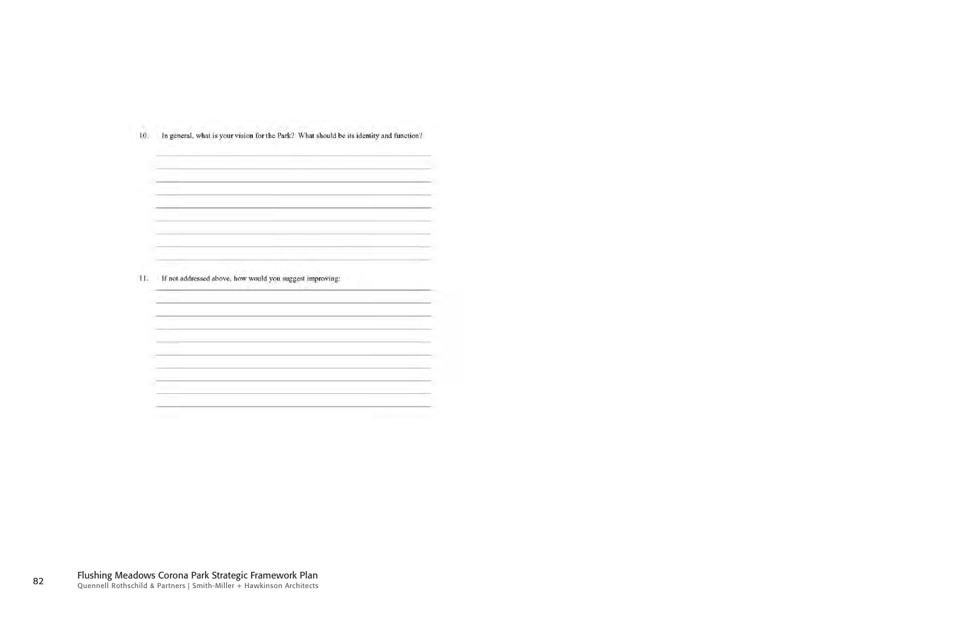| If not addressed above, how would you suggest improving: |  |  |
|----------------------------------------------------------|--|--|
|                                                          |  |  |
|                                                          |  |  |
|                                                          |  |  |
|                                                          |  |  |
|                                                          |  |  |

10. In general, what is your vision for the Park? What should be its identity and function?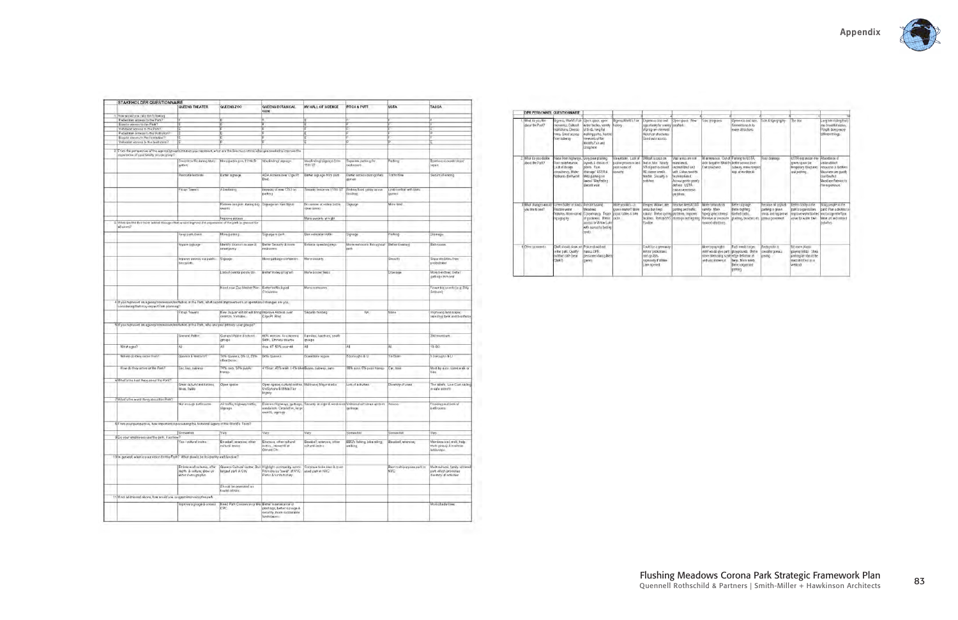|                                                                                                                                                                          | QUEENS THEATER                                                               | QUEENS ZOO                                                            | QUEENS BOTANICAL<br><b>GDN</b>                                                                                  | <b>NY HALL OF SCIENCE</b>                      | <b>PITCH &amp; PUTT</b>                                                 | USTA                                     | <b>TASCA</b>                                                                              |
|--------------------------------------------------------------------------------------------------------------------------------------------------------------------------|------------------------------------------------------------------------------|-----------------------------------------------------------------------|-----------------------------------------------------------------------------------------------------------------|------------------------------------------------|-------------------------------------------------------------------------|------------------------------------------|-------------------------------------------------------------------------------------------|
| 1 How would you rate the following                                                                                                                                       |                                                                              |                                                                       |                                                                                                                 |                                                |                                                                         |                                          |                                                                                           |
| Pedentrian access to the Park?                                                                                                                                           |                                                                              |                                                                       |                                                                                                                 |                                                |                                                                         |                                          |                                                                                           |
| Bioycle access to the Park?                                                                                                                                              |                                                                              |                                                                       | ĪΕ                                                                                                              |                                                |                                                                         |                                          |                                                                                           |
| Vehicular appeas to the Parit?                                                                                                                                           |                                                                              |                                                                       |                                                                                                                 |                                                |                                                                         |                                          |                                                                                           |
| Pedastrian access to the Institution?                                                                                                                                    |                                                                              | E                                                                     |                                                                                                                 |                                                |                                                                         |                                          | ĪÞ                                                                                        |
| Bibyclil abcess to the institution?                                                                                                                                      |                                                                              |                                                                       |                                                                                                                 |                                                |                                                                         |                                          |                                                                                           |
| Vehicolar access to the Institution?                                                                                                                                     |                                                                              |                                                                       |                                                                                                                 |                                                | E                                                                       |                                          |                                                                                           |
|                                                                                                                                                                          |                                                                              |                                                                       |                                                                                                                 |                                                |                                                                         |                                          |                                                                                           |
| From the perspective of the agency/crouponstrusion you represent, what are the five most critical changes needed to improve the<br>нарментов обудат биолку остали долоро |                                                                              |                                                                       |                                                                                                                 |                                                |                                                                         |                                          |                                                                                           |
|                                                                                                                                                                          | Control traffic during Mets<br>gem on                                        | More parting on 111m St                                               | Waylindray signage                                                                                              | Wayfinding/signage from<br>118-37              | Separate pathing for<br>силопить                                        | Parking                                  | Boathouse meets major<br>vepare.                                                          |
|                                                                                                                                                                          | Polocate festivals                                                           | Better signage                                                        | ADA Acous over Ciga Pt<br>Blvd.                                                                                 | Better signage from park                       | Better nocess dunnig Mets<br>games                                      | <b>Traffic flow</b>                      | Seaunty Ferrong                                                                           |
|                                                                                                                                                                          | <b>Fix up Town's</b>                                                         | Advertising                                                           | Impacts of new CS(3 on<br>parking                                                                               | Security fence on 111th ST                     | Broken flood gates cause<br>pubooli                                     | Limit-conficit with Mets:<br>games       |                                                                                           |
|                                                                                                                                                                          |                                                                              | Releve congets during big<br>elveve                                   | Signage on Van Wyck                                                                                             | No soose or volky ball in<br>ypen areas        | Signage                                                                 | Mare tanif                               |                                                                                           |
|                                                                                                                                                                          |                                                                              | Improve access                                                        |                                                                                                                 | More security at might                         |                                                                         |                                          |                                                                                           |
| 3. What are the five most subbal changes that would improve the experience of the park in general for<br>aš ukvrti7                                                      |                                                                              |                                                                       |                                                                                                                 |                                                |                                                                         |                                          |                                                                                           |
|                                                                                                                                                                          | fescious deas                                                                | More parting                                                          | Signage in park                                                                                                 | Bim vehicular traffic                          | Signage                                                                 | Parking                                  | Dramage                                                                                   |
|                                                                                                                                                                          | Imprve Lignage                                                               | Identify location mcase of                                            | Better Security & more                                                                                          | Enforce speeding regs                          | More restrictive throughout                                             | Better deaning                           | Bathrooms.                                                                                |
|                                                                                                                                                                          |                                                                              | entergency                                                            | restrontes                                                                                                      |                                                | park                                                                    |                                          |                                                                                           |
|                                                                                                                                                                          | improve access via public.<br>transports.                                    | Signage                                                               | Mone garbage containers                                                                                         | Mone electrity.                                |                                                                         | Security                                 | Separate bikins from<br>pedestrians                                                       |
|                                                                                                                                                                          |                                                                              | Lackof central police stn                                             | Bettertrolley program                                                                                           | More Bocoer fields                             |                                                                         | Dramage                                  | More bencher, better<br>gathage removal                                                   |
|                                                                                                                                                                          |                                                                              | Need now Zoo Master Plan Better traffic & ped                         | Circulation                                                                                                     | More restrooms.                                |                                                                         |                                          | Fewer big events (e.g. Billy<br>Grabaro)                                                  |
|                                                                                                                                                                          |                                                                              |                                                                       |                                                                                                                 |                                                |                                                                         |                                          |                                                                                           |
| 4 If you represent an agencylconoexuco/institution at the Park, what capital improvements or operational changes are you.<br>considering that may impact Park planning?  | Fix up Towers                                                                | New Jaguar exhibit will snng improve Access over<br>controto Vehicles | Clge Pt Elvd.                                                                                                   | Security ferioing                              | NA.                                                                     | None                                     | impliving landscape                                                                       |
| 5 if you represent an agency/concernion/institution at the Park, who are your primary user groups?                                                                       |                                                                              |                                                                       |                                                                                                                 |                                                |                                                                         |                                          |                                                                                           |
|                                                                                                                                                                          | General Public                                                               | Gerieral Public & school<br>groups                                    | 60% woman. Availabonne<br>\$40° Emmoly diverse                                                                  | Familios, Foachiers, soath<br>groups           |                                                                         |                                          | 280 members                                                                               |
| What a gea?                                                                                                                                                              | 甋                                                                            | AI                                                                    | Ave. 47 50% over 44                                                                                             | 硼                                              | All                                                                     | AJI                                      | $18 - 80$                                                                                 |
| Where do they come from?                                                                                                                                                 | Queens & Matro NY                                                            | 70% Queent, 5% Lt, 25%<br>other boros.                                | <b>Be'ls Queens</b>                                                                                             | Downstate region                               | 5 botought & U                                                          | To-State-                                | 5 bonuughs & U                                                                            |
| How do they arrive at the Park?                                                                                                                                          | Car bus, subway                                                              | 70% cars, 30% public<br>transp                                        | 41%car. 45% walk 14% bike Buses, subway, auto-                                                                  |                                                | 95% auto, 6% publ transp-                                               | Car train                                | bike                                                                                      |
| 6 What's the best thing about the Park?                                                                                                                                  | Grear cultural institutions,<br>lakes, fields                                | Open space                                                            | Open space, cultural instins, Multi-use; Mayor stadia<br>UniSphere & Wrids Fair<br>légacy                       |                                                | Lots of a divities.                                                     | Diversity of uses                        | in safe evennt.                                                                           |
| 7 What's the worst thing about the Park?                                                                                                                                 |                                                                              |                                                                       |                                                                                                                 |                                                |                                                                         | Abbent                                   | repairing derk and boathuse<br>Most by auto, some walk or<br>The lake's. Low Cost sailing |
|                                                                                                                                                                          | Not enough bathrooms                                                         | Air traffic; highway traffic;<br>iligi ago.                           | Civisive Highways, garbage,<br>candalism. Circulation, large<br>events, sigm ge-                                |                                                | Security at night & weekends Viditors den't clean up their<br>garburgo. |                                          | Flooding and lack of<br>batterooms                                                        |
| EF rom your perspective, how important is preserving the historical legacy of the World's Fairs?                                                                         |                                                                              |                                                                       |                                                                                                                 |                                                |                                                                         |                                          |                                                                                           |
|                                                                                                                                                                          | Somewhat                                                                     | Vety                                                                  | <b>Very</b>                                                                                                     | Very                                           | Somewhat                                                                | Somewhat                                 | Very                                                                                      |
|                                                                                                                                                                          | Yes - cultural instins                                                       | Baseball, exercise; other<br>cultural instns                          | Exercise, athen cultural<br>instruct research at                                                                | Baseball, exercise, other<br>autural instnis   | <b>BBQ's fishing</b> bike riding<br>walking.                            | Baseball, exercise;                      |                                                                                           |
|                                                                                                                                                                          |                                                                              |                                                                       | Omato Ctr                                                                                                       |                                                |                                                                         |                                          | Members sral, walk, help.<br>trash projeto & manatan<br>landscape                         |
| 9 Do your employees use the park, if so how?                                                                                                                             | Embrace all cultures, offer<br>neath & culture, draw on<br>widve demographic | largest park in City.                                                 | Queens Cultural center, 2nd Highlight community activis<br>Promote as "jewel" of NYC<br>Parks & for its history | Continue to be best B most<br>used park in NYC |                                                                         | Best multi-purpose park in<br><b>NYE</b> | park which promotes<br>diversity of activities.                                           |
| 10 In general, what is your vision for the Park? What should be its identity and function?                                                                               |                                                                              | Should be promoted as:<br>tourist attrem                              |                                                                                                                 |                                                |                                                                         |                                          | Mulit-cultural, family, orineted                                                          |
| 11 If not addressed above, how would you suggest improving the park                                                                                                      |                                                                              | Need Park Conservancy like Better maintenance of                      |                                                                                                                 |                                                |                                                                         |                                          | More phade tree:                                                                          |

|                                           | DPR PERSONNEL QUESTIONNAIRE                                                                                  |                                                                                                                                                |                                                                          |                                                                                                                                               |                                                                                                                                                                            |                                                                                                                                      |                                                                              |                                                                                    |                                                                                                    |                                                                                                                      |
|-------------------------------------------|--------------------------------------------------------------------------------------------------------------|------------------------------------------------------------------------------------------------------------------------------------------------|--------------------------------------------------------------------------|-----------------------------------------------------------------------------------------------------------------------------------------------|----------------------------------------------------------------------------------------------------------------------------------------------------------------------------|--------------------------------------------------------------------------------------------------------------------------------------|------------------------------------------------------------------------------|------------------------------------------------------------------------------------|----------------------------------------------------------------------------------------------------|----------------------------------------------------------------------------------------------------------------------|
| Winat dù you like<br>shout the Park?      | Bigness, World's Fair.<br>memores, Cultural<br>malitations. Diverse<br>rees, Gred access<br>yu wakazi moli   | Open space, open<br>water bodies, variety<br>of birds, fong Rat<br>walking paths, historic<br>remmants of the<br>World's Fair and<br>Unisphere | BignessWorld's Fair<br><b>Tustery</b>                                    | nomities size and<br>reportunity for vanish<br>of program elemental<br>Heloncal structures.<br>Good auto access.                              | Open space. New<br>resolved:                                                                                                                                               | Size programs                                                                                                                        | Openness and Arze.<br>Convertises in its<br>many Willachores                 | Size & tiongraphy                                                                  | The 200                                                                                            | Long interesting that's<br>ans beautiful vistas.<br>Preople domg many<br>different things.                           |
| 2. What do you distike<br>about the Park? | Noce from highways.<br>Poor maintenance.<br>mirsh hakal<br>consutency, Water<br><b>Yoow finnts and Aship</b> | Very poor planting<br>layouts & choice of<br>plants Pare<br>dranage" USTA 6<br>Mets parking on<br>Lawns! Wayfinding<br>doesn't won't           | Nawebsite, Lack of<br>policie presence and<br>bont-teres of<br>se cunty  | Difficult access on<br><b>Hoot on take Nearly</b><br>1/3 af park is closed<br>NE corner amelis<br>temble. Security a<br>nothlient             | Vast areas are not<br>mantanott.<br>understillfed and<br>unit. L'aires need to<br>The Temericated<br>Access points pointy<br>defined USTA<br>causes enormous.<br>preblems. | M anterance. Out of Pariono for USTA.<br>date forgotten World's better access from<br>Fair structures                                | subway, more rangers.<br>esp. at weeken go                                   | Poor dranage                                                                       | USTA expansion into Abundance of<br>green space for<br>threporary structures<br>und parking        | underutilized<br>resources & facilities<br>Museums are pontly<br>contrated<br>Munitime Baltime In<br>the experience. |
| What changes would<br>You like to see?    | Green butler at mads. [A real Flushing<br>Restore water<br>features, More vaned<br>report aplity             | Meadows<br>Conservancy, Team<br>of gardeners. Rietter<br>access to Wittow Lake<br>with access to briding<br><b>Aver</b>                        | More vandors - a<br>green market? More<br>pionic tables & bike<br>racks. | Rennen Wildw Lake<br>areas but keep<br>natural Better cycling problems, lingnove<br>faighties. Rehab NYS I realizage and lighting<br>Pavilion | Resolve Mets/LISTA<br>painting and traffic.                                                                                                                                | More horizoitural<br>variety. More<br>topotraphic interest<br>Remove or removate.<br>unuard structures                               | Better signage<br>Better lighting<br>United curbs.<br>placting, benches etc. | Reniove all asphat<br>parking in green.<br>areas and nepave wi<br>pottous pavement | Better clarey in the<br>pak's organization.<br>Involver water bodies<br>value for water frw)       | Rting people to the<br>parid Plan activities to<br>en/cursoe interface<br>More art and rether!<br>activities         |
| Other comments                            | OMA should show art Police should not<br>in the patit, Quality<br>outdoor café (near<br><b>QMA7</b>          | harass DPR<br>personnel during Mets<br>Dienes                                                                                                  |                                                                          | Could be a geenway<br>Inditor pedestions<br>and cyclists.<br>especially if William<br>Lake opened.                                            |                                                                                                                                                                            | More topographic<br>relief would give park. Iplayground: Better<br>niore interesting scale edge definition at<br>and viscal interest | Park needs larger<br>hwys. More thints<br>Better organized<br>parking        | Redo parks &<br>consider porous<br>049800                                          | No more plastic<br>playing fields! Shea<br>partnng lot should be<br>reestablished as a<br>william. |                                                                                                                      |

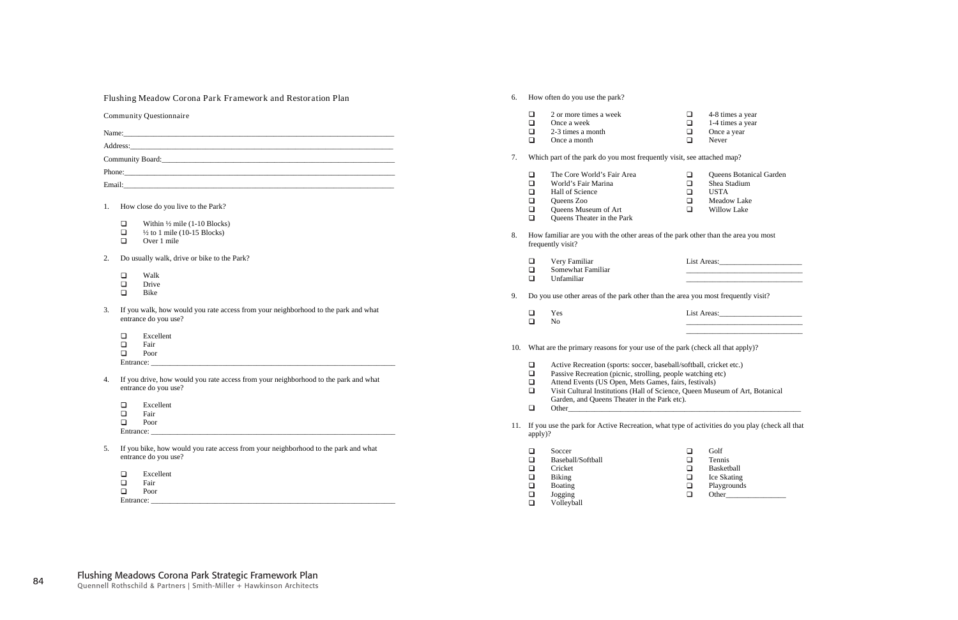|    | <b>Flushing Meadow Corona Park Framework and Restoration Plan</b>                   | 6.  |                  | How often do you use the park?                                                                     |        |                             |  |
|----|-------------------------------------------------------------------------------------|-----|------------------|----------------------------------------------------------------------------------------------------|--------|-----------------------------|--|
|    | <b>Community Questionnaire</b>                                                      |     | ❏                | 2 or more times a week                                                                             | $\Box$ | 4-8 times a year            |  |
|    |                                                                                     |     | $\Box$           | Once a week                                                                                        | $\Box$ | 1-4 times a year            |  |
|    |                                                                                     |     | $\Box$           | 2-3 times a month                                                                                  | $\Box$ | Once a year                 |  |
|    |                                                                                     |     | $\Box$           | Once a month                                                                                       | $\Box$ | Never                       |  |
|    |                                                                                     | 7.  |                  | Which part of the park do you most frequently visit, see attached map?                             |        |                             |  |
|    |                                                                                     |     | ❏                | The Core World's Fair Area                                                                         | $\Box$ | Queens Botanical Garden     |  |
|    |                                                                                     |     | $\Box$           | World's Fair Marina                                                                                | $\Box$ | Shea Stadium                |  |
|    |                                                                                     |     | $\Box$           | Hall of Science                                                                                    | $\Box$ | <b>USTA</b>                 |  |
|    |                                                                                     |     | $\Box$           | Queens Zoo                                                                                         | $\Box$ | Meadow Lake                 |  |
|    | How close do you live to the Park?                                                  |     | $\Box$           | Queens Museum of Art                                                                               | $\Box$ | Willow Lake                 |  |
|    |                                                                                     |     | $\Box$           | Queens Theater in the Park                                                                         |        |                             |  |
|    | $\Box$<br>Within $\frac{1}{2}$ mile (1-10 Blocks)                                   |     |                  |                                                                                                    |        |                             |  |
|    | $\Box$<br>$\frac{1}{2}$ to 1 mile (10-15 Blocks)                                    | 8.  |                  | How familiar are you with the other areas of the park other than the area you most                 |        |                             |  |
|    | $\Box$<br>Over 1 mile                                                               |     |                  | frequently visit?                                                                                  |        |                             |  |
| 2. | Do usually walk, drive or bike to the Park?                                         |     | ❏                | Very Familiar                                                                                      |        | List Areas: 1988 and 1988   |  |
|    |                                                                                     |     | $\Box$           | Somewhat Familiar                                                                                  |        |                             |  |
|    | $\Box$<br>Walk                                                                      |     | $\Box$           | Unfamiliar                                                                                         |        |                             |  |
|    | $\Box$<br>Drive                                                                     |     |                  |                                                                                                    |        |                             |  |
|    | $\Box$<br>Bike                                                                      | 9.  |                  | Do you use other areas of the park other than the area you most frequently visit?                  |        |                             |  |
| 3. | If you walk, how would you rate access from your neighborhood to the park and what  |     |                  |                                                                                                    |        |                             |  |
|    | entrance do you use?                                                                |     | $\Box$           | Yes                                                                                                |        | List Areas: 1988 March 2014 |  |
|    |                                                                                     |     | $\Box$           | N <sub>o</sub>                                                                                     |        |                             |  |
|    | Excellent<br>$\Box$                                                                 |     |                  |                                                                                                    |        |                             |  |
|    | $\Box$<br>Fair                                                                      | 10. |                  | What are the primary reasons for your use of the park (check all that apply)?                      |        |                             |  |
|    | $\Box$<br>Poor                                                                      |     |                  |                                                                                                    |        |                             |  |
|    | Entrance: _                                                                         |     | ❏                | Active Recreation (sports: soccer, baseball/softball, cricket etc.)                                |        |                             |  |
|    |                                                                                     |     | $\Box$           | Passive Recreation (picnic, strolling, people watching etc)                                        |        |                             |  |
| 4. | If you drive, how would you rate access from your neighborhood to the park and what |     | $\Box$           | Attend Events (US Open, Mets Games, fairs, festivals)                                              |        |                             |  |
|    | entrance do you use?                                                                |     | $\Box$           | Visit Cultural Institutions (Hall of Science, Queen Museum of Art, Botanical                       |        |                             |  |
|    |                                                                                     |     |                  | Garden, and Queens Theater in the Park etc).                                                       |        |                             |  |
|    | ❏<br>Excellent                                                                      |     | $\Box$           |                                                                                                    |        |                             |  |
|    | $\Box$<br>Fair                                                                      |     |                  |                                                                                                    |        |                             |  |
|    | $\Box$<br>Poor                                                                      |     |                  | 11. If you use the park for Active Recreation, what type of activities do you play (check all that |        |                             |  |
|    | Entrance: $\overline{\phantom{a}}$                                                  |     | apply)?          |                                                                                                    |        |                             |  |
| 5. | If you bike, how would you rate access from your neighborhood to the park and what  |     |                  |                                                                                                    |        |                             |  |
|    | entrance do you use?                                                                |     | $\Box$<br>$\Box$ | Soccer                                                                                             | $\Box$ | Golf                        |  |
|    |                                                                                     |     |                  | Baseball/Softball                                                                                  | $\Box$ | Tennis                      |  |
|    | Excellent<br>$\Box$                                                                 |     | ❏                | Cricket                                                                                            | $\Box$ | Basketball                  |  |
|    | $\Box$<br>Fair                                                                      |     | $\Box$           | Biking                                                                                             | $\Box$ | Ice Skating                 |  |
|    | $\Box$<br>Poor                                                                      |     | ◻                | <b>Boating</b>                                                                                     | $\Box$ | Playgrounds                 |  |
|    | Entrance:                                                                           |     | ❏                | Jogging                                                                                            | $\Box$ | Other                       |  |
|    |                                                                                     |     | $\Box$           | Volleyball                                                                                         |        |                             |  |

Volleyball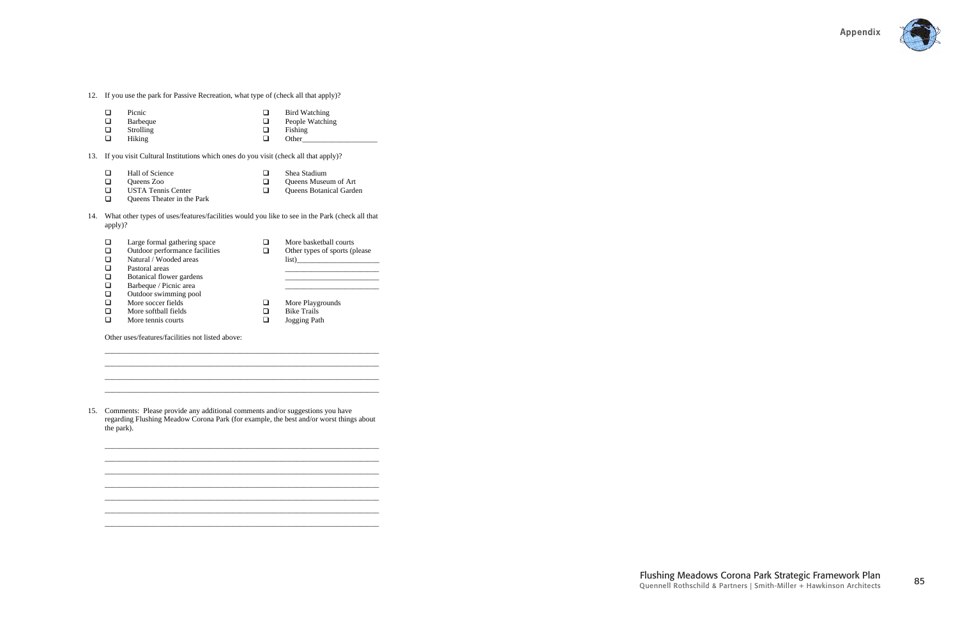

- 12. If you use the park for Passive Recreation, what type of (check all that apply)?
	- $\begin{array}{c} \square \\ \square \end{array}$  $\Box$ Picnic Bird Watching  $\Box$ 
		- Barbeque People Watching
	- $\Box$ Strolling  $\Box$ Hiking
- $\overline{a}$ Fishing Other\_
- 

- $\Box$ Queens Museum of Art
- $\Box$ USTA Tennis Center Queens Botanical Garden
- $\Box$ Queens Theater in the Park
- 14. What other types of uses/features/facilities would you like to see in the Park (check all that apply)?

| Large formal gathering space   |   | More basketball courts        |
|--------------------------------|---|-------------------------------|
| Outdoor performance facilities |   | Other types of sports (please |
| Natural / Wooded areas         |   | list)                         |
| Pastoral areas                 |   |                               |
| Botanical flower gardens       |   |                               |
| Barbeque / Picnic area         |   |                               |
| Outdoor swimming pool          |   |                               |
| More soccer fields             | ப | More Playgrounds              |
| More softball fields           | ⊔ | <b>Bike Trails</b>            |
| More tennis courts             | ப | Jogging Path                  |

13. If you visit Cultural Institutions which ones do you visit (check all that apply)?

- $\Box$ Hall of Science  $\Box$ Shea Stadium
- $\Box$ Queens Zoo  $\Box$

\_\_\_\_\_\_\_\_\_\_\_\_\_\_\_\_\_\_\_\_\_\_\_\_\_\_\_\_\_\_\_\_\_\_\_\_\_\_\_\_\_\_\_\_\_\_\_\_\_\_\_\_\_\_\_\_\_\_\_\_\_\_\_\_\_\_\_\_\_\_\_\_\_ \_\_\_\_\_\_\_\_\_\_\_\_\_\_\_\_\_\_\_\_\_\_\_\_\_\_\_\_\_\_\_\_\_\_\_\_\_\_\_\_\_\_\_\_\_\_\_\_\_\_\_\_\_\_\_\_\_\_\_\_\_\_\_\_\_\_\_\_\_\_\_\_\_  $\_$  , and the set of the set of the set of the set of the set of the set of the set of the set of the set of the set of the set of the set of the set of the set of the set of the set of the set of the set of the set of th  $\_$  , and the set of the set of the set of the set of the set of the set of the set of the set of the set of the set of the set of the set of the set of the set of the set of the set of the set of the set of the set of th

Other uses/features/facilities not listed above:

15. Comments: Please provide any additional comments and/or suggestions you have regarding Flushing Meadow Corona Park (for example, the best and/or worst things about the park).

\_\_\_\_\_\_\_\_\_\_\_\_\_\_\_\_\_\_\_\_\_\_\_\_\_\_\_\_\_\_\_\_\_\_\_\_\_\_\_\_\_\_\_\_\_\_\_\_\_\_\_\_\_\_\_\_\_\_\_\_\_\_\_\_\_\_\_\_\_\_\_\_\_ \_\_\_\_\_\_\_\_\_\_\_\_\_\_\_\_\_\_\_\_\_\_\_\_\_\_\_\_\_\_\_\_\_\_\_\_\_\_\_\_\_\_\_\_\_\_\_\_\_\_\_\_\_\_\_\_\_\_\_\_\_\_\_\_\_\_\_\_\_\_\_\_\_ \_\_\_\_\_\_\_\_\_\_\_\_\_\_\_\_\_\_\_\_\_\_\_\_\_\_\_\_\_\_\_\_\_\_\_\_\_\_\_\_\_\_\_\_\_\_\_\_\_\_\_\_\_\_\_\_\_\_\_\_\_\_\_\_\_\_\_\_\_\_\_\_\_  $\_$  , and the set of the set of the set of the set of the set of the set of the set of the set of the set of the set of the set of the set of the set of the set of the set of the set of the set of the set of the set of th  $\_$  , and the set of the set of the set of the set of the set of the set of the set of the set of the set of the set of the set of the set of the set of the set of the set of the set of the set of the set of the set of th  $\_$  , and the set of the set of the set of the set of the set of the set of the set of the set of the set of the set of the set of the set of the set of the set of the set of the set of the set of the set of the set of th \_\_\_\_\_\_\_\_\_\_\_\_\_\_\_\_\_\_\_\_\_\_\_\_\_\_\_\_\_\_\_\_\_\_\_\_\_\_\_\_\_\_\_\_\_\_\_\_\_\_\_\_\_\_\_\_\_\_\_\_\_\_\_\_\_\_\_\_\_\_\_\_\_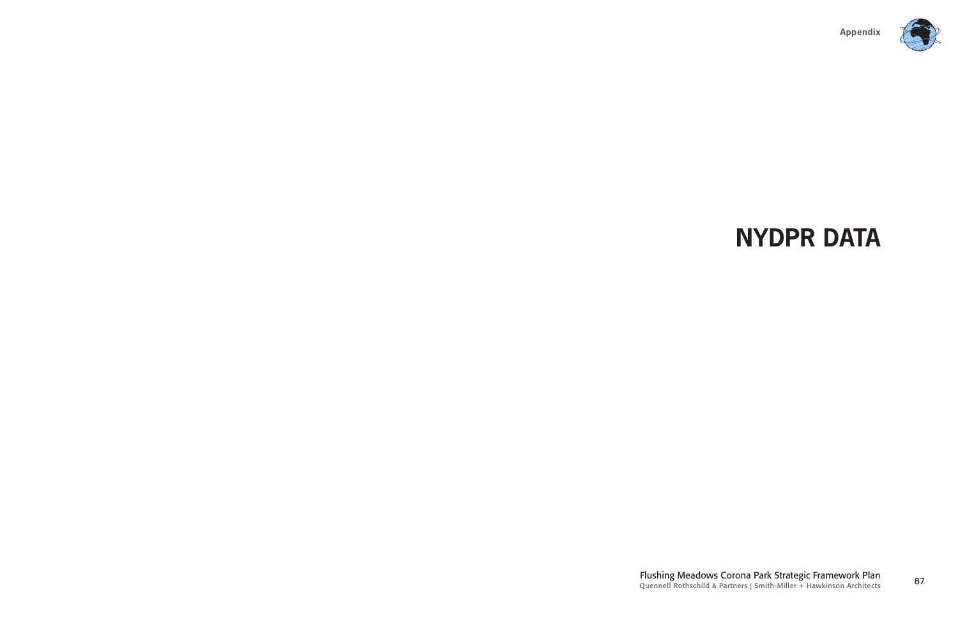

<sup>87</sup> Flushing Meadows Corona Park Strategic Framework Plan Quennell Rothschild & Partners | Smith-Miller + Hawkinson Architects

# **NYDPR DATA**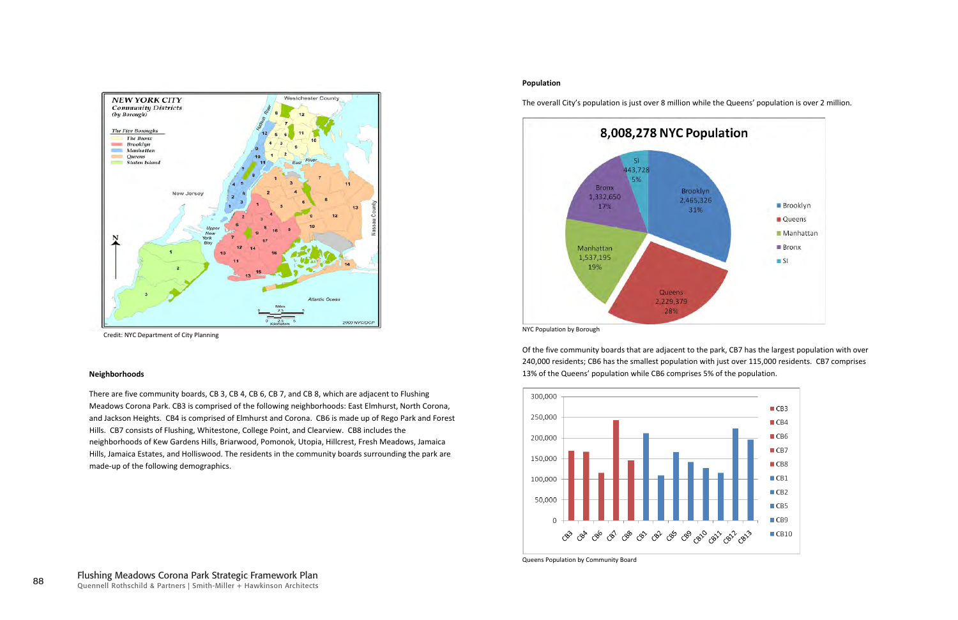There are five community boards, CB 3, CB 4, CB 6, CB 7, and CB 8, which are adjacent to Flushing Meadows Corona Park. CB3 is comprised of the following neighborhoods: East Elmhurst, North Corona, and Jackson Heights. CB4 is comprised of Elmhurst and Corona. CB6 is made up of Rego Park and Forest Hills. CB7 consists of Flushing, Whitestone, College Point, and Clearview. CB8 includes the neighborhoods of Kew Gardens Hills, Briarwood, Pomonok, Utopia, Hillcrest, Fresh Meadows, Jamaica Hills, Jamaica Estates, and Holliswood. The residents in the community boards surrounding the park are made-up of the following demographics.



Credit: NYC Department of City Planning

#### **Neighborhoods**

#### **Population**

The overall City's population is just over 8 million while the Queens' population is over 2 million.



NYC Population by Borough

Of the five community boards that are adjacent to the park, CB7 has the largest population with over 240,000 residents; CB6 has the smallest population with just over 115,000 residents. CB7 comprises 13% of the Queens' population while CB6 comprises 5% of the population.



Queens Population by Community Board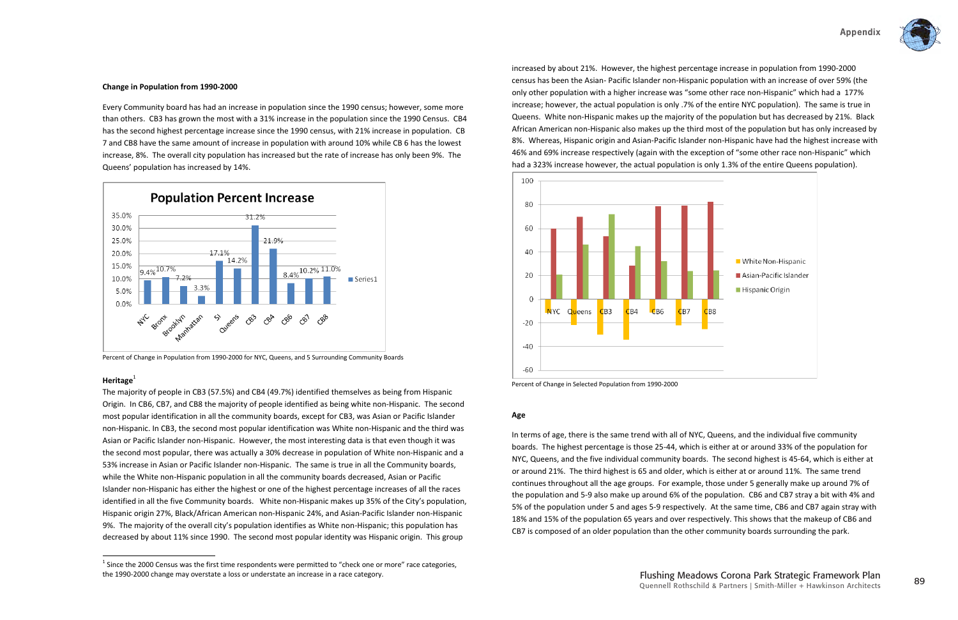

#### **Age**

The majority of people in CB3 (57.5%) and CB4 (49.7%) identified themselves as being from Hispanic Origin. In CB6, CB7, and CB8 the majority of people identified as being white non-Hispanic. The second most popular identification in all the community boards, except for CB3, was Asian or Pacific Islander non-Hispanic. In CB3, the second most popular identification was White non-Hispanic and the third was Asian or Pacific Islander non-Hispanic. However, the most interesting data is that even though it was the second most popular, there was actually a 30% decrease in population of White non-Hispanic and a 53% increase in Asian or Pacific Islander non-Hispanic. The same is true in all the Community boards, while the White non-Hispanic population in all the community boards decreased, Asian or Pacific Islander non-Hispanic has either the highest or one of the highest percentage increases of all the races identified in all the five Community boards. White non-Hispanic makes up 35% of the City's population, Hispanic origin 27%, Black/African American non-Hispanic 24%, and Asian-Pacific Islander non-Hispanic 9%. The majority of the overall city's population identifies as White non-Hispanic; this population has decreased by about 11% since 1990. The second most popular identity was Hispanic origin. This group

increased by about 21%. However, the highest percentage increase in population from 1990-2000 census has been the Asian-Pacific Islander non-Hispanic population with an increase of over 59% (the only other population with a higher increase was "some other race non-Hispanic" which had a 177% increase; however, the actual population is only .7% of the entire NYC population). The same is true in Queens. White non-Hispanic makes up the majority of the population but has decreased by 21%. Black African American non-Hispanic also makes up the third most of the population but has only increased by 8%. Whereas, Hispanic origin and Asian-Pacific Islander non-Hispanic have had the highest increase with 46% and 69% increase respectively (again with the exception of "some other race non-Hispanic" which had a 323% increase however, the actual population is only 1.3% of the entire Queens population).



Percent of Change in Selected Population from 1990-2000

In terms of age, there is the same trend with all of NYC, Queens, and the individual five community boards. The highest percentage is those 25-44, which is either at or around 33% of the population for NYC, Queens, and the five individual community boards. The second highest is 45-64, which is either at or around 21%. The third highest is 65 and older, which is either at or around 11%. The same trend continues throughout all the age groups. For example, those under 5 generally make up around 7% of the population and 5-9 also make up around 6% of the population. CB6 and CB7 stray a bit with 4% and 5% of the population under 5 and ages 5-9 respectively. At the same time, CB6 and CB7 again stray with 18% and 15% of the population 65 years and over respectively. This shows that the makeup of CB6 and CB7 is composed of an older population than the other community boards surrounding the park.

#### **Change** in Population from 1990-2000

Every Community board has had an increase in population since the 1990 census; however, some more than others. CB3 has grown the most with a 31% increase in the population since the 1990 Census. CB4 has the second highest percentage increase since the 1990 census, with 21% increase in population. CB 7 and CB8 have the same amount of increase in population with around 10% while CB 6 has the lowest increase, 8%. The overall city population has increased but the rate of increase has only been 9%. The Queens' population has increased by 14%.



Percent of Change in Population from 1990-2000 for NYC, Queens, and 5 Surrounding Community Boards

#### **Heritage**<sup>1</sup>

 $1$  Since the 2000 Census was the first time respondents were permitted to "check one or more" race categories, the 1990-2000 change may overstate a loss or understate an increase in a race category.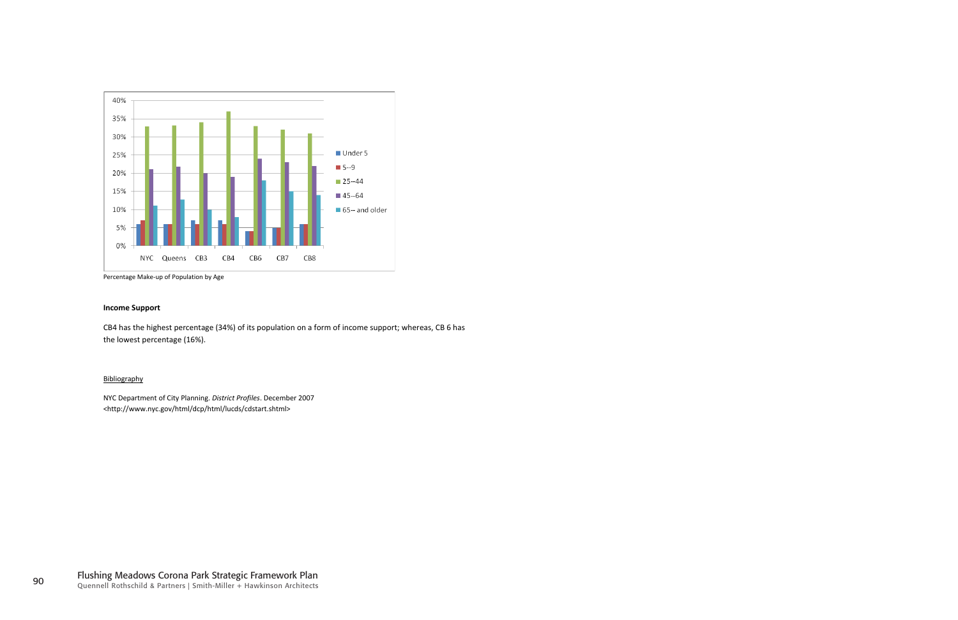

Percentage Make-up of Population by Age

#### **Income Support**

CB4 has the highest percentage (34%) of its population on a form of income support; whereas, CB 6 has the lowest percentage (16%).

#### Bibliography

NYC Department of City Planning. *District Profiles*. December 2007 <http://www.nyc.gov/html/dcp/html/lucds/cdstart.shtml>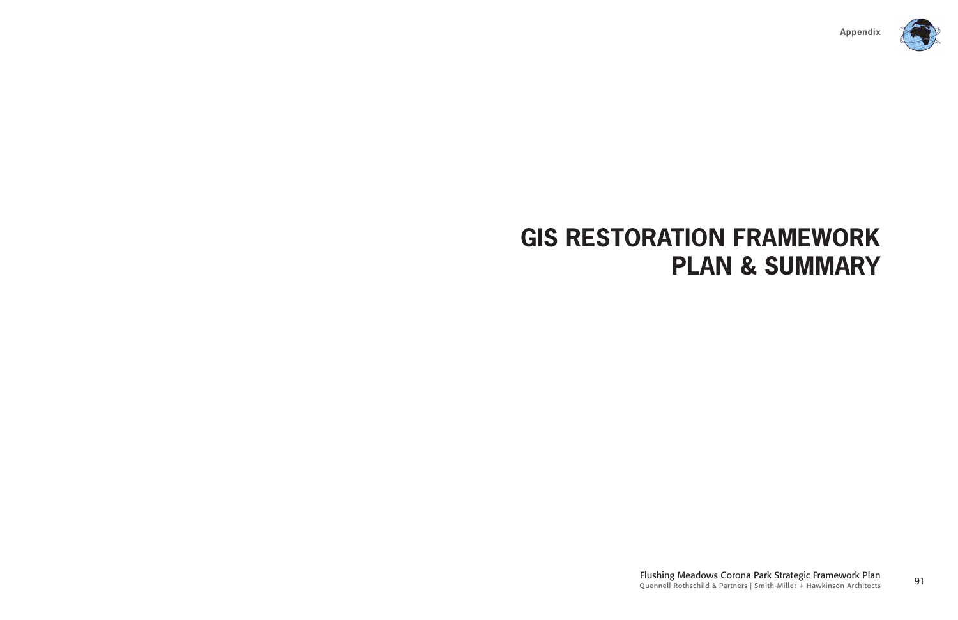

<sup>91</sup> Flushing Meadows Corona Park Strategic Framework Plan Quennell Rothschild & Partners | Smith-Miller + Hawkinson Architects

### **GIS RESTORATION FRAMEWORK PLAN & SUMMARY**

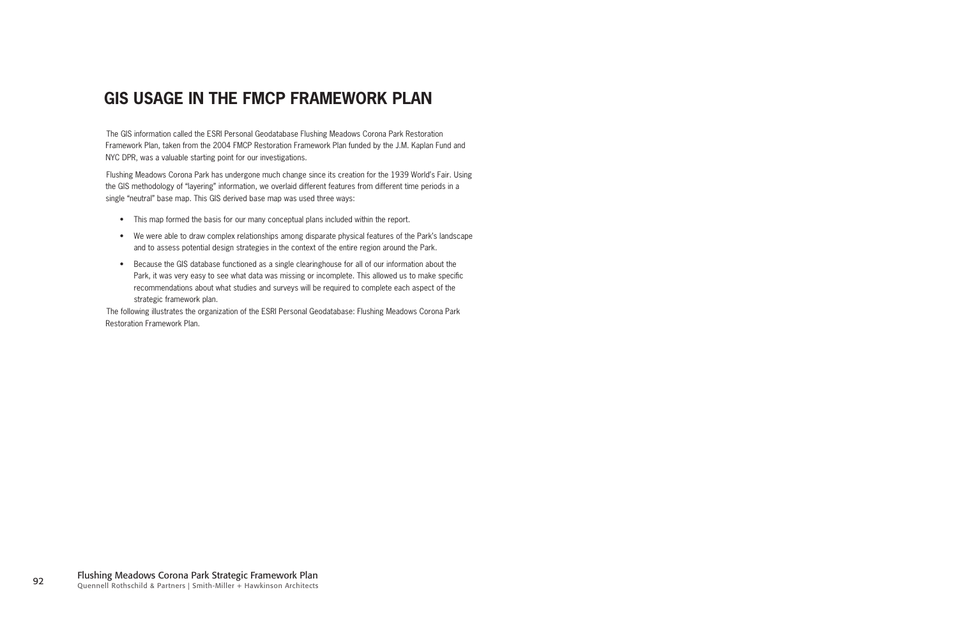### **GIS usage in the FMCP Framework Plan**

The GIS information called the ESRI Personal Geodatabase Flushing Meadows Corona Park Restoration Framework Plan, taken from the 2004 FMCP Restoration Framework Plan funded by the J.M. Kaplan Fund and NYC DPR, was a valuable starting point for our investigations.

Flushing Meadows Corona Park has undergone much change since its creation for the 1939 World's Fair. Using the GIS methodology of "layering" information, we overlaid different features from different time periods in a single "neutral" base map. This GIS derived base map was used three ways:

- This map formed the basis for our many conceptual plans included within the report.
- We were able to draw complex relationships among disparate physical features of the Park's landscape and to assess potential design strategies in the context of the entire region around the Park.
- Because the GIS database functioned as a single clearinghouse for all of our information about the Park, it was very easy to see what data was missing or incomplete. This allowed us to make specific recommendations about what studies and surveys will be required to complete each aspect of the strategic framework plan.

The following illustrates the organization of the ESRI Personal Geodatabase: Flushing Meadows Corona Park Restoration Framework Plan.